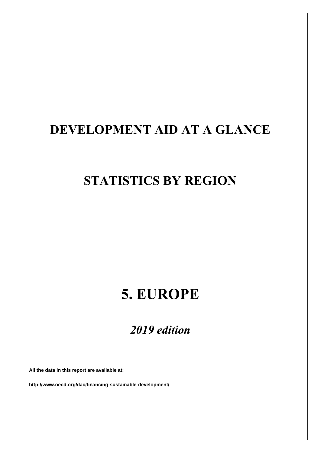# **DEVELOPMENT AID AT A GLANCE**

## **STATISTICS BY REGION**

# **5. EUROPE**

## *2019 edition*

**All the data in this report are available at:**

**http://www.oecd.org/dac/financing-sustainable-development/**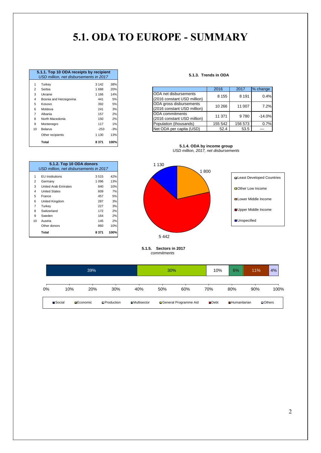## **5.1. ODA TO EUROPE - SUMMARY**

|                | 5.1.1. Top 10 ODA receipts by recipient<br>USD million, net disbursements in 2017 |         |       |  |  |  |  |  |  |
|----------------|-----------------------------------------------------------------------------------|---------|-------|--|--|--|--|--|--|
| 1              | Turkey                                                                            | 3 1 4 2 | 38%   |  |  |  |  |  |  |
| $\overline{2}$ | Serbia                                                                            | 1688    | 20%   |  |  |  |  |  |  |
| 3              | Ukraine                                                                           | 1 1 6 6 | 14%   |  |  |  |  |  |  |
| 4              | Bosnia and Herzegovina                                                            | 441     | 5%    |  |  |  |  |  |  |
| 5              | Kosovo                                                                            | 392     | 5%    |  |  |  |  |  |  |
| 6              | Moldova                                                                           | 241     | 3%    |  |  |  |  |  |  |
| $\overline{7}$ | Albania                                                                           | 157     | 2%    |  |  |  |  |  |  |
| 8              | North Macedonia                                                                   | 150     | 2%    |  |  |  |  |  |  |
| 9              | Montenegro                                                                        | 117     | 1%    |  |  |  |  |  |  |
| 10             | Belarus                                                                           | $-253$  | $-3%$ |  |  |  |  |  |  |
|                | Other recipients                                                                  | 1 1 3 0 | 13%   |  |  |  |  |  |  |
|                | Total                                                                             | 8 3 7 1 | 100%  |  |  |  |  |  |  |

 EU Institutions 3 515 42% Germany 1 096 13% United Arab Emirates 840 10% United States 609 7% France 457 5% United Kingdom 287 3% Turkey 227 3% 8 Switzerland 172 2% 9 Sweden 164 2%<br>10 Austria 145 2%

**5.1.2. Top 10 ODA donors**

*USD million, net disbursements in 2017*

Other donors 860 10% **Total 8 371 100%**

Austria

|  | 5.1.3.  Trends in ODA |  |
|--|-----------------------|--|
|  |                       |  |

|       | .                      | ---     | $\sim$ |                             |         |         |          |  |
|-------|------------------------|---------|--------|-----------------------------|---------|---------|----------|--|
| 2     | Serbia                 | 1688    | 20%    |                             | 2016    | 2017    | % change |  |
| 3     | Ukraine                | 1 1 6 6 | 14%    | ODA net disbursements       | 8 1 5 5 | 8 1 9 1 | 0.4%     |  |
| 4     | Bosnia and Herzegovina | 441     | 5%     | (2016 constant USD million) |         |         |          |  |
| $5 -$ | Kosovo                 | 392     | 5%     | ODA gross disbursements     | 10 266  | 11 007  | 7.2%     |  |
| 6     | Moldova                | 241     | 3%     | (2016 constant USD million) |         |         |          |  |
|       | Albania                | 157     | 2%     | <b>IODA</b> commitments     | 11 371  | 9780    | $-14.0%$ |  |
| 8     | North Macedonia        | 150     | 2%     | (2016 constant USD million) |         |         |          |  |
| 9     | Montenegro             | 117     | 1%     | Population (thousands)      | 155 542 | 156 573 | 0.7%     |  |
| 10    | Belarus                | $-253$  | $-3%$  | Net ODA per capita (USD)    | 52.4    | 53.5    |          |  |
|       |                        |         |        |                             |         |         |          |  |

**5.1.4. ODA by income group** *USD million, 2017, net disbursements*



 **5.1.5. Sectors in 2017**  *commitments*

|    | 39%     |                   |     |                    |                      | 30% |                         | 10%                 | 6%                  | 11% | 4%            |
|----|---------|-------------------|-----|--------------------|----------------------|-----|-------------------------|---------------------|---------------------|-----|---------------|
| 0% | 10%     |                   | 20% | 30%                | 40%                  | 50% | 60%                     | 70%                 | 80%                 | 90% | 100%          |
|    | ■Social | <b>□</b> Economic |     | <b>OProduction</b> | <b>□</b> Multisector |     | □ General Programme Aid | $\blacksquare$ Debt | <b>Humanitarian</b> |     | $\Box$ Others |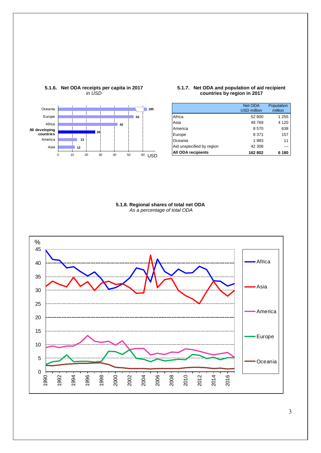

### **5.1.6. Net ODA receipts per capita in 2017** *in USD*

### **5.1.7. Net ODA and population of aid recipient countries by region in 2017**

|                           | Net ODA            | Population |
|---------------------------|--------------------|------------|
|                           | <b>USD million</b> | million    |
| Africa                    | 52 800             | 1 255      |
| Asia                      | 48769              | 4 1 2 0    |
| America                   | 8570               | 638        |
| Europe                    | 8 371              | 157        |
| Oceania                   | 1 983              | 11         |
| Aid unspecified by region | 42 308             |            |
| <b>All ODA recipients</b> | 162 802            | 6 180      |

**5.1.8. Regional shares of total net ODA** *As a percentage of total ODA*

<span id="page-2-0"></span>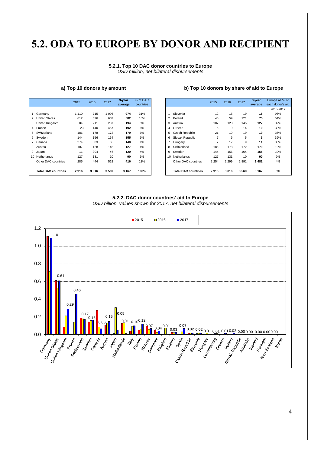## **5.2. ODA [TO](#page-2-0) EUROPE BY DONOR AND RECIPIENT**

### **5.2.1. Top 10 DAC donor countries to Europe** *USD million, net bilateral disbursements*

| a) Top 10 donors by amount | b) Top 10 donors by share of aid to Europe |
|----------------------------|--------------------------------------------|
|----------------------------|--------------------------------------------|

|                            | 2015    | 2016 | 2017 | 3-year<br>average | % of DAC<br>countries |                 |                            | 2015    | 2016    | 2017 | 3-year<br>average | Europe as<br>each donor |
|----------------------------|---------|------|------|-------------------|-----------------------|-----------------|----------------------------|---------|---------|------|-------------------|-------------------------|
|                            |         |      |      |                   |                       |                 |                            |         |         |      |                   | 2015-20                 |
| Germany                    | 1 1 1 0 | 715  | 096  | 974               | 31%                   |                 | Slovenia                   | 12      | 15      | 19   | 15                | 96%                     |
| 2 United States            | 612     | 526  | 609  | 582               | 18%                   | 2               | Poland                     | 46      | 59      | 121  | 75                | 51%                     |
| 3 United Kingdom           | 84      | 211  | 287  | 194               | 6%                    | 3               | Austria                    | 107     | 128     | 145  | 127               | 39%                     |
| 4 France                   | $-23$   | 140  | 457  | 192               | 6%                    | 4               | Greece                     | 6       | 9       | 14   | 10                | 38%                     |
| 5 Switzerland              | 186     | 178  | 172  | 179               | 6%                    | 5               | <b>Czech Republic</b>      | 21      | 19      | 19   | 19                | 36%                     |
| 6 Sweden                   | 144     | 156  | 164  | 155               | 5%                    | 6               | Slovak Republic            |         | 6       | 5    | 6                 | 36%                     |
| 7 Canada                   | 274     | 83   | 65   | 140               | 4%                    |                 | Hungary                    |         | 17      | 9    | 11                | 35%                     |
| 8 Austria                  | 107     | 128  | 145  | 127               | 4%                    | 8               | Switzerland                | 186     | 178     | 172  | 179               | 12%                     |
| 9 Japan                    | 11      | 304  | 46   | 120               | 4%                    | 9               | Sweden                     | 144     | 156     | 164  | 155               | 10%                     |
| 10 Netherlands             | 127     | 131  | 10   | 90                | 3%                    | 10 <sup>1</sup> | Netherlands                | 127     | 131     | 10   | 90                | 9%                      |
| Other DAC countries        | 285     | 444  | 518  | 416               | 13%                   |                 | Other DAC countries        | 2 2 5 4 | 2 2 9 9 | 2891 | 2481              | 4%                      |
| <b>Total DAC countries</b> | 2916    | 3016 | 3569 | 3 1 6 7           | 100%                  |                 | <b>Total DAC countries</b> | 2916    | 3016    | 3569 | 3 1 6 7           | 5%                      |

| % of DAC<br>countries |                |                            | 2015    | 2016    | 2017 | 3-year<br>average | Europe as % of<br>each donor's aid |
|-----------------------|----------------|----------------------------|---------|---------|------|-------------------|------------------------------------|
|                       |                |                            |         |         |      |                   | 2015-2017                          |
| 31%                   | 1              | Slovenia                   | 12      | 15      | 19   | 15                | 96%                                |
| 18%                   | $\overline{2}$ | Poland                     | 46      | 59      | 121  | 75                | 51%                                |
| 6%                    | 3              | Austria                    | 107     | 128     | 145  | 127               | 39%                                |
| 6%                    | 4              | Greece                     | 6       | 9       | 14   | 10                | 38%                                |
| 6%                    | 5              | <b>Czech Republic</b>      | 21      | 19      | 19   | 19                | 36%                                |
| 5%                    | 6              | Slovak Republic            | 7       | 6       | 5    | 6                 | 36%                                |
| 4%                    | 7              | Hungary                    | 7       | 17      | 9    | 11                | 35%                                |
| 4%                    | 8              | Switzerland                | 186     | 178     | 172  | 179               | 12%                                |
| 4%                    | 9              | Sweden                     | 144     | 156     | 164  | 155               | 10%                                |
| 3%                    | $10^{-1}$      | Netherlands                | 127     | 131     | 10   | 90                | 9%                                 |
| 13%                   |                | Other DAC countries        | 2 2 5 4 | 2 2 9 9 | 2891 | 2 4 8 1           | 4%                                 |
| 100%                  |                | <b>Total DAC countries</b> | 2916    | 3016    | 3569 | 3 1 6 7           | 5%                                 |

## **5.2.2. DAC donor countries' aid to Europe**



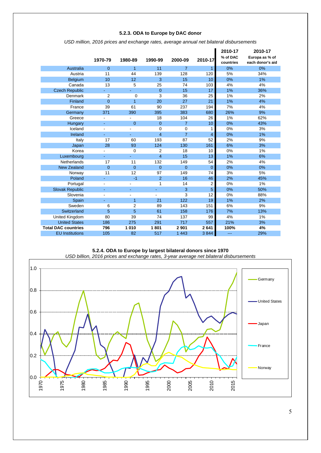## **5.2.3. ODA to Europe by DAC donor**

|                            |                          |                          |                |                |                | 2010-17               | 2010-17                            |
|----------------------------|--------------------------|--------------------------|----------------|----------------|----------------|-----------------------|------------------------------------|
|                            | 1970-79                  | 1980-89                  | 1990-99        | 2000-09        | 2010-17        | % of DAC<br>countries | Europa as % of<br>each donor's aid |
| <b>Australia</b>           | $\overline{0}$           | 1                        | 11             | $\overline{7}$ | $\mathbf{1}$   | 0%                    | 0%                                 |
| Austria                    | 11                       | 44                       | 139            | 128            | 120            | 5%                    | 34%                                |
| Belgium                    | 10                       | 12                       | 3              | 15             | 10             | 0%                    | 1%                                 |
| Canada                     | 13                       | 5                        | 25             | 74             | 103            | 4%                    | 4%                                 |
| <b>Czech Republic</b>      |                          |                          | $\mathbf{0}$   | 15             | 17             | 1%                    | 36%                                |
| Denmark                    | $\overline{2}$           | $\mathbf 0$              | 3              | 36             | 25             | 1%                    | 2%                                 |
| Finland                    | $\overline{0}$           | 1                        | 20             | 27             | 21             | 1%                    | 4%                                 |
| France                     | 39                       | 61                       | 90             | 237            | 194            | 7%                    | 4%                                 |
| Germany                    | 371                      | 390                      | 395            | 383            | 680            | 26%                   | 9%                                 |
| Greece                     | $\blacksquare$           |                          | 18             | 104            | 26             | 1%                    | 62%                                |
| Hungary                    |                          | $\overline{0}$           | $\overline{0}$ | $\overline{7}$ | 10             | 0%                    | 43%                                |
| Iceland                    | $\blacksquare$           | $\overline{\phantom{0}}$ | 0              | 0              | 1              | 0%                    | 3%                                 |
| Ireland                    | ä,                       |                          | $\overline{4}$ | $\overline{7}$ | 4              | 0%                    | 1%                                 |
| Italy                      | 17                       | 60                       | 193            | 87             | 52             | 2%                    | 9%                                 |
| Japan                      | 28                       | 93                       | 124            | 130            | 161            | 6%                    | 3%                                 |
| Korea                      |                          | 0                        | 2              | 18             | 10             | 0%                    | 1%                                 |
| Luxembourg                 | ÷.                       | ÷.                       | $\overline{4}$ | 15             | 13             | 1%                    | 6%                                 |
| Netherlands                | 17                       | 11                       | 132            | 149            | 54             | 2%                    | 4%                                 |
| <b>New Zealand</b>         | $\overline{0}$           | $\Omega$                 | $\overline{0}$ | $\overline{0}$ | $\overline{0}$ | 0%                    | 0%                                 |
| Norway                     | 11                       | 12                       | 97             | 149            | 74             | 3%                    | 5%                                 |
| Poland                     |                          | $-1$                     | $\overline{2}$ | 16             | 46             | 2%                    | 45%                                |
| Portugal                   | $\overline{\phantom{a}}$ | $\frac{1}{2}$            | 1              | 14             | $\overline{2}$ | 0%                    | 1%                                 |
| <b>Slovak Republic</b>     | $\blacksquare$           | ÷,                       | ٠              | 3              | 5              | 0%                    | 50%                                |
| Slovenia                   | $\blacksquare$           |                          |                | 3              | 12             | 0%                    | 88%                                |
| Spain                      |                          | $\overline{1}$           | 21             | 122            | 19             | 1%                    | 2%                                 |
| Sweden                     | 6                        | $\overline{2}$           | 89             | 143            | 151            | 6%                    | 9%                                 |
| Switzerland                | 5                        | 5                        | 61             | 158            | 176            | 7%                    | 13%                                |
| United Kingdom             | 80                       | 39                       | 74             | 137            | 99             | 4%                    | 1%                                 |
| <b>United States</b>       | 186                      | 275                      | 291            | 717            | 557            | 21%                   | 3%                                 |
| <b>Total DAC countries</b> | 796                      | 1010                     | 1801           | 2901           | 2641           | 100%                  | 4%                                 |
| <b>EU</b> Institutions     | 105                      | 82                       | 517            | 1 4 4 3        | 3844           | ---                   | 29%                                |

*USD million, 2016 prices and exchange rates, average annual net bilateral disbursements*

**5.2.4. ODA to Europe by largest bilateral donors since 1970** *USD billion, 2016 prices and exchange rates, 3-year average net bilateral disbursements*

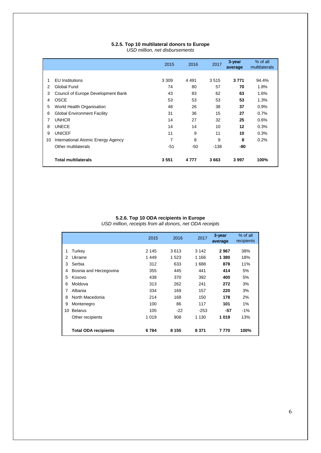## **5.2.5. Top 10 multilateral donors to Europe**

*USD million, net disbursements*

|    |                                    | 2015    | 2016    | 2017   | 3-year<br>average | % of all<br>multilaterals |
|----|------------------------------------|---------|---------|--------|-------------------|---------------------------|
|    |                                    |         |         |        |                   |                           |
| 1  | <b>EU</b> Institutions             | 3 3 0 9 | 4 4 9 1 | 3515   | 3771              | 94.4%                     |
| 2  | Global Fund                        | 74      | 80      | 57     | 70                | 1.8%                      |
| 3  | Council of Europe Development Bank | 43      | 83      | 62     | 63                | 1.6%                      |
| 4  | OSCE                               | 53      | 53      | 53     | 53                | 1.3%                      |
| 5  | World Health Organisation          | 48      | 26      | 38     | 37                | 0.9%                      |
| 6  | <b>Global Environment Facility</b> | 31      | 36      | 15     | 27                | 0.7%                      |
| 7  | <b>UNHCR</b>                       | 14      | 27      | 32     | 25                | 0.6%                      |
| 8  | <b>UNECE</b>                       | 14      | 14      | 10     | 12                | 0.3%                      |
| 9  | <b>UNICEF</b>                      | 11      | 9       | 11     | 10                | 0.3%                      |
| 10 | International Atomic Energy Agency | 7       | 8       | 9      | 8                 | 0.2%                      |
|    | Other multilaterals                | $-51$   | -50     | $-138$ | -80               |                           |
|    | <b>Total multilaterals</b>         | 3551    | 4 7 7 7 | 3663   | 3 9 9 7           | 100%                      |

### **5.2.6. Top 10 ODA recipients in Europe** *USD million, receipts from all donors, net ODA receipts*

|    |                             | 2015    | 2016    | 2017    | 3-year<br>average | % of all<br>recipients |
|----|-----------------------------|---------|---------|---------|-------------------|------------------------|
| 1  | Turkey                      | 2 1 4 5 | 3613    | 3 1 4 2 | 2967              | 38%                    |
| 2  | Ukraine                     | 1449    | 1 523   | 1 1 6 6 | 1 380             | 18%                    |
| 3  | Serbia                      | 312     | 633     | 1688    | 878               | 11%                    |
| 4  | Bosnia and Herzegovina      | 355     | 445     | 441     | 414               | 5%                     |
| 5  | Kosovo                      | 438     | 370     | 392     | 400               | 5%                     |
| 6  | Moldova                     | 313     | 262     | 241     | 272               | 3%                     |
| 7  | Albania                     | 334     | 169     | 157     | 220               | 3%                     |
| 8  | North Macedonia             | 214     | 168     | 150     | 178               | 2%                     |
| 9  | Montenegro                  | 100     | 86      | 117     | 101               | 1%                     |
| 10 | <b>Belarus</b>              | 105     | $-22$   | $-253$  | -57               | $-1\%$                 |
|    | Other recipients            | 1019    | 908     | 1 1 3 0 | 1019              | 13%                    |
|    | <b>Total ODA recipients</b> | 6784    | 8 1 5 5 | 8 3 7 1 | 7 770             | 100%                   |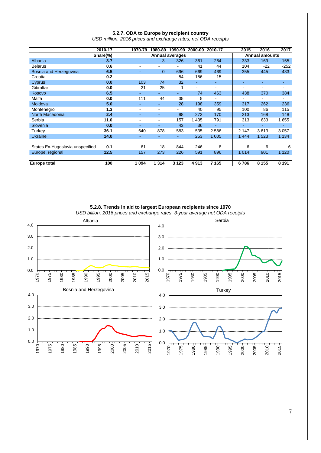|                                  | 2010-17  | 1970-79                  | 1980-89        | 1990-99                | 2000-09        | 2010-17        | 2015  | 2016                         | 2017                     |
|----------------------------------|----------|--------------------------|----------------|------------------------|----------------|----------------|-------|------------------------------|--------------------------|
|                                  | Share(%) |                          |                | <b>Annual averages</b> |                |                |       | <b>Annual amounts</b>        |                          |
| Albania                          | 3.7      |                          | 3              | 326                    | 361            | 264            | 333   | 169                          | 155                      |
| <b>Belarus</b>                   | 0.6      | $\blacksquare$           | ٠              | ۰                      | 41             | 44             | 104   | $-22$                        | $-252$                   |
| Bosnia and Herzegovina           | 6.5      | $\sim$                   | $\overline{0}$ | 696                    | 669            | 469            | 355   | 445                          | 433                      |
| Croatia                          | 0.2      |                          | ۰              | 54                     | 156            | 15             | ۰     | $\qquad \qquad \blacksquare$ | ٠                        |
| Cyprus                           | 0.0      | 103                      | 74             | 32                     | ٠              | ٠              | ۰     | ٠                            | $\sim$                   |
| Gibraltar                        | 0.0      | 21                       | 25             | 1                      | $\blacksquare$ | $\blacksquare$ | ٠     | $\blacksquare$               | $\overline{\phantom{0}}$ |
| Kosovo                           | 6.5      |                          |                | ÷                      | 74             | 463            | 438   | 370                          | 384                      |
| Malta                            | 0.0      | 111                      | 44             | 35                     | 5              | ٠              | ۰     | ۰                            | ۰.                       |
| Moldova                          | 5.0      |                          | ÷              | 28                     | 198            | 359            | 317   | 262                          | 236                      |
| Montenegro                       | 1.3      |                          | ۰              |                        | 40             | 95             | 100   | 86                           | 115                      |
| North Macedonia                  | 2.4      | $\sim$                   | ٠              | 98                     | 273            | 170            | 213   | 168                          | 148                      |
| Serbia                           | 11.0     | $\overline{\phantom{a}}$ | ۰              | 157                    | 1 4 3 5        | 791            | 313   | 633                          | 1655                     |
| Slovenia                         | 0.0      |                          | ÷              | 43                     | 36             | ÷.             |       | ÷                            | ÷.                       |
| Turkey                           | 36.1     | 640                      | 878            | 583                    | 535            | 2586           | 2 147 | 3613                         | 3 0 5 7                  |
| <b>Ukraine</b>                   | 14.0     | $\sim$                   | ÷              | $\sim$                 | 253            | 1 0 0 5        | 1444  | 1523                         | 1 1 3 4                  |
|                                  |          |                          |                |                        |                |                |       |                              |                          |
| States Ex-Yugoslavia unspecified | 0.1      | 61                       | 18             | 844                    | 246            | 8              | 6     | 6                            | 6                        |
| Europe, regional                 | 12.5     | 157                      | 273            | 226                    | 591            | 896            | 1014  | 901                          | 1 1 2 0                  |
|                                  |          |                          |                |                        |                |                |       |                              |                          |
| <b>Europe total</b>              | 100l     | 1 0 9 4                  | 1 3 1 4        | 3 1 2 3                | 4913           | 7 1 6 5        | 6786  | 8 1 5 5                      | 8 1 9 1                  |

**5.2.7. ODA to Europe by recipient country** *USD million, 2016 prices and exchange rates, net ODA receipts*

**5.2.8. Trends in aid to largest European recipients since 1970**

*USD billion, 2016 prices and exchange rates, 3-year average net ODA receipts*

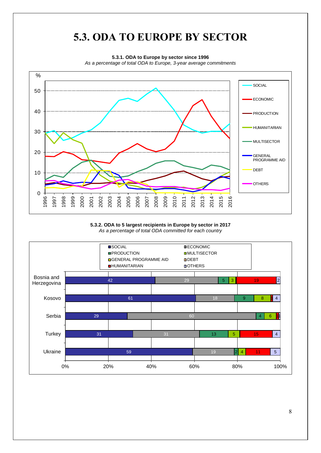## **5.3. ODA TO EUROPE BY SECTOR**

**5.3.1. ODA to Europe by sector since 1996**

*As a percentage of total ODA to Europe, 3-year average commitments*



**5.3.2. ODA to 5 largest recipients in Europe by sector in 2017** *As a percentage of total ODA committed for each country*

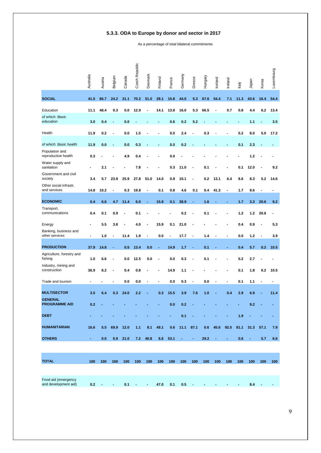## **5.3.3. ODA to Europe by donor and sector in 2017**

As a percentage of total bilateral commitments

|                                             | Australia      | Austria | Belgium        | Canada | Czech Republic | Denmark        | Finland | France         | Germany        | Greece                   | Hungary | Iceland        | Ireland                      | Italy | Japan          | Korea | Luxembourg     |
|---------------------------------------------|----------------|---------|----------------|--------|----------------|----------------|---------|----------------|----------------|--------------------------|---------|----------------|------------------------------|-------|----------------|-------|----------------|
| <b>SOCIAL</b>                               | 41.5           | 66.7    | 24.2           | 31.1   | 70.2           | 51.0           | 28.1    | 15.8           | 44.0           | 5.3                      | 67.6    | 54.4           | 7.1                          | 11.3  | 43.6           | 16.4  | 54.4           |
| Education                                   | 11.1           | 48.4    | 0.3            | 0.0    | 12.9           | $\blacksquare$ | 14.1    | 13.8           | 16.0           | 5.3                      | 66.5    | $\blacksquare$ | 0.7                          | 0.8   | 4.4            | 6.2   | 13.4           |
| of which: Basic<br>education                | 3.0            | 0.4     |                | 0.0    |                |                |         | 0.6            | 0.2            | 5.2                      |         |                |                              |       | 1.1            |       | 3.5            |
| Health                                      | 11.9           | 0.2     | $\blacksquare$ | 0.0    | 1.5            |                | -       | 0.0            | 2.4            | $\overline{\phantom{a}}$ | 0.3     |                | $\blacksquare$               | 0.2   | 8.0            | 5.0   | 17.2           |
| of which: Basic health                      | 11.9           | 0.0     |                | 0.0    | 0.3            |                |         | 0.0            | 0.2            |                          |         |                |                              | 0.1   | 2.3            |       |                |
| Population and<br>reproductive health       | 0.3            |         |                | 4.9    | 0.4            |                |         | 0.0            |                |                          |         |                |                              |       | 1.2            |       |                |
| Water supply and<br>sanitation              |                | 2.1     |                |        | 7.8            |                |         | 0.3            | 11.0           |                          | 0.1     |                |                              | 0.1   | 12.0           |       | 9.2            |
| Government and civil<br>society             | 3.4            | 5.7     | 23.9           | 25.9   | 27.8           | 51.0           | 14.0    | 0.9            | 10.1           | -                        | 0.2     | 13.1           | 6.4                          | 8.6   | 8.3            | 5.2   | 14.6           |
| Other social infrastr.<br>and services      | 14.8           | 10.2    | $\blacksquare$ | 0.3    | 19.8           | ۰              | 0.1     | 0.8            | 4.6            | 0.1                      | 0.4     | 41.3           | $\blacksquare$               | 1.7   | 9.6            |       |                |
| <b>ECONOMIC</b>                             | 0.4            | 6.6     | 4.7            | 11.4   | 6.0            |                | 15.9    | 0.1            | 38.9           | ٠                        | 1.6     |                |                              | 1.7   | 3.3            | 20.6  | 9.2            |
| Transport,<br>communications                | 0.4            | 0.1     | 0.9            |        | 0.1            |                |         |                | 0.2            |                          | 0.1     |                |                              | 1.2   | 1.2            | 20.6  | $\blacksquare$ |
| Energy                                      |                | 5.5     | 3.8            |        | 4.0            |                | 15.9    | 0.1            | 21.0           |                          |         |                |                              | 0.4   | 0.9            |       | 5.3            |
| Banking, business and<br>other services     | $\blacksquare$ | 1.0     |                | 11.4   | 1.9            |                | 0.0     | $\blacksquare$ | 17.7           | $\overline{\phantom{a}}$ | 1.4     |                |                              | 0.0   | 1.2            |       | 3.9            |
| <b>PRODUCTION</b>                           | 37.9           | 14.8    |                | 0.5    | 13.4           | 0.0            |         | 14.9           | 1.7            |                          | 0.1     |                |                              | 0.4   | 5.7            | 0.2   | 10.5           |
| Agriculture, forestry and<br>fishing        | 1.0            | 6.6     |                | 0.0    | 12.5           | 0.0            |         | 0.0            | 0.3            | $\overline{\phantom{a}}$ | 0.1     |                |                              | 0.2   | 2.7            |       |                |
| Industry, mining and<br>construction        | 36.9           | 8.2     |                | 0.4    | 0.8            |                |         | 14.9           | 1.1            |                          |         |                |                              | 0.1   | 1.8            | 0.2   | 10.5           |
| Trade and tourism                           |                |         |                | 0.0    | 0.0            | ۰              |         | 0.0            | 0.3            | $\blacksquare$           | 0.0     |                | $\qquad \qquad \blacksquare$ | 0.1   | 1.1            |       | $\blacksquare$ |
| <b>MULTISECTOR</b>                          | 3.5            | 6.4     | 0.3            | 24.0   | 2.2            |                | 0.3     | 15.5           | 3.9            | 7.6                      | 1.0     |                | 0.4                          | 2.9   | 6.9            |       | 11.4           |
| <b>GENERAL</b><br><b>PROGRAMME AID</b>      | 0.2            |         |                |        |                |                |         | 0 <sub>0</sub> | 0.2            |                          |         |                |                              |       | Q <sub>2</sub> |       |                |
| <b>DEBT</b>                                 |                |         |                |        |                |                |         |                | 0.1            |                          |         |                |                              | 1.9   |                |       |                |
| <b>HUMANITARIAN</b>                         | 16.6           | 5.5     | 69.9           | 12.0   | 1.1            | 8.1            | 49.1    | 0.6            | 11.1           | 87.1                     | 0.6     | 45.6           | 92.5                         | 81.1  | 31.3           | 57.1  | 7.9            |
| <b>OTHERS</b>                               | $\blacksquare$ | 0.0     | 0.9            | 21.0   | 7.2            | 40.8           | 6.6     | 53.1           | $\blacksquare$ | ٠                        | 29.2    |                | $\blacksquare$               | 0.6   | ٠              | 5.7   | 6.6            |
|                                             |                |         |                |        |                |                |         |                |                |                          |         |                |                              |       |                |       |                |
| <b>TOTAL</b>                                | 100            | 100     | 100            | 100    | 100            | 100            | 100     | 100            | 100            | 100                      | 100     | 100            | 100                          | 100   | 100            | 100   | 100            |
|                                             |                |         |                |        |                |                |         |                |                |                          |         |                |                              |       |                |       |                |
| Food aid (emergency<br>and development aid) | 0.2            |         |                | 0.1    |                |                | 47.0    | 0.1            | 0.5            |                          |         |                |                              |       | 8.4            |       |                |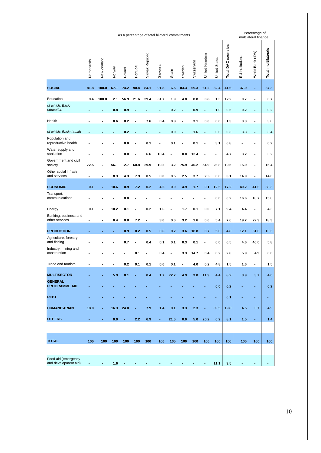| Netherlands<br><b>SOCIAL</b><br>81.8<br>Education<br>9.4<br>of which: Basic<br>education<br>Health<br>of which: Basic health<br>Population and<br>reproductive health<br>Water supply and<br>sanitation<br>Government and civil<br>society<br>72.5<br>Other social infrastr.<br>and services<br>$\blacksquare$<br><b>ECONOMIC</b><br>0.1<br>Transport,<br>communications<br>Energy<br>0.1<br>Banking, business and<br>other services<br><b>PRODUCTION</b><br>Agriculture, forestry<br>and fishing<br>Industry, mining and<br>construction | New Zealand<br>100.0<br>100.0<br>۰ | Norway<br>67.1<br>2.1<br>0.8<br>0.6<br>56.1<br>8.3<br>10.6<br>10.2<br>0.4 | Poland<br>74.2<br>56.9<br>0.9<br>0.2<br>0.2<br>0.0<br>0.0<br>12.7<br>4.3<br>0.9<br>0.0<br>0.1 | Portugal<br>90.4<br>21.6<br>60.8<br>7.9<br>7.2 | Slovak Republic<br>84.1<br>39.4<br>7.6<br>0.1<br>6.6<br>29.9<br>0.5<br>0.2 | Slovenia<br>91.8<br>61.7<br>٠<br>0.4<br>10.4<br>19.2<br>0.0<br>4.5 | Spain<br>6.5<br>1.9<br>0.2<br>0.8<br>0.0<br>0.1<br>$\blacksquare$<br>3.2<br>0.5<br>0.0 | Sweden<br>83.3<br>4.8<br>$\centering \label{eq:reduced}$<br>$\overline{\phantom{a}}$<br>0.0<br>75.9<br>2.5<br>4.9 | Switzerland<br>69.3<br>8.8<br>0.9<br>3.1<br>1.6<br>0.1<br>13.4<br>40.2<br>3.7<br>1.7 | United Kingdom<br>61.2<br>3.8<br>٠<br>0.0<br>۰<br>54.9<br>2.5<br>0.1 | <b>United States</b><br>32.4<br>1.3<br>1.0<br>0.6<br>0.6<br>3.1<br>٠<br>26.8<br>0.6 | <b>Total DAC countries</b><br>41.6<br>12.2<br>0.5<br>1.3<br>0.3<br>0.8<br>4.7<br>19.5<br>3.1<br>17.2 | EU institutions<br>37.9<br>0.7<br>0.2<br>3.3<br>3.3<br>3.2<br>15.9<br>14.9<br>40.2 | World Bank (IDA)<br>$\blacksquare$<br>$\blacksquare$<br>$\blacksquare$<br>٠<br>$\blacksquare$<br>$\blacksquare$<br>41.6 | Total multilaterals<br>37.3<br>0.7<br>0.2<br>3.8<br>3.4<br>0.2<br>3.2<br>15.4<br>14.0<br>38.3 |
|-------------------------------------------------------------------------------------------------------------------------------------------------------------------------------------------------------------------------------------------------------------------------------------------------------------------------------------------------------------------------------------------------------------------------------------------------------------------------------------------------------------------------------------------|------------------------------------|---------------------------------------------------------------------------|-----------------------------------------------------------------------------------------------|------------------------------------------------|----------------------------------------------------------------------------|--------------------------------------------------------------------|----------------------------------------------------------------------------------------|-------------------------------------------------------------------------------------------------------------------|--------------------------------------------------------------------------------------|----------------------------------------------------------------------|-------------------------------------------------------------------------------------|------------------------------------------------------------------------------------------------------|------------------------------------------------------------------------------------|-------------------------------------------------------------------------------------------------------------------------|-----------------------------------------------------------------------------------------------|
|                                                                                                                                                                                                                                                                                                                                                                                                                                                                                                                                           |                                    |                                                                           |                                                                                               |                                                |                                                                            |                                                                    |                                                                                        |                                                                                                                   |                                                                                      |                                                                      |                                                                                     |                                                                                                      |                                                                                    |                                                                                                                         |                                                                                               |
|                                                                                                                                                                                                                                                                                                                                                                                                                                                                                                                                           |                                    |                                                                           |                                                                                               |                                                |                                                                            |                                                                    |                                                                                        |                                                                                                                   |                                                                                      |                                                                      |                                                                                     |                                                                                                      |                                                                                    |                                                                                                                         |                                                                                               |
|                                                                                                                                                                                                                                                                                                                                                                                                                                                                                                                                           |                                    |                                                                           |                                                                                               |                                                |                                                                            |                                                                    |                                                                                        |                                                                                                                   |                                                                                      |                                                                      |                                                                                     |                                                                                                      |                                                                                    |                                                                                                                         |                                                                                               |
|                                                                                                                                                                                                                                                                                                                                                                                                                                                                                                                                           |                                    |                                                                           |                                                                                               |                                                |                                                                            |                                                                    |                                                                                        |                                                                                                                   |                                                                                      |                                                                      |                                                                                     |                                                                                                      |                                                                                    |                                                                                                                         |                                                                                               |
|                                                                                                                                                                                                                                                                                                                                                                                                                                                                                                                                           |                                    |                                                                           |                                                                                               |                                                |                                                                            |                                                                    |                                                                                        |                                                                                                                   |                                                                                      |                                                                      |                                                                                     |                                                                                                      |                                                                                    |                                                                                                                         |                                                                                               |
|                                                                                                                                                                                                                                                                                                                                                                                                                                                                                                                                           |                                    |                                                                           |                                                                                               |                                                |                                                                            |                                                                    |                                                                                        |                                                                                                                   |                                                                                      |                                                                      |                                                                                     |                                                                                                      |                                                                                    |                                                                                                                         |                                                                                               |
|                                                                                                                                                                                                                                                                                                                                                                                                                                                                                                                                           |                                    |                                                                           |                                                                                               |                                                |                                                                            |                                                                    |                                                                                        |                                                                                                                   |                                                                                      |                                                                      |                                                                                     |                                                                                                      |                                                                                    |                                                                                                                         |                                                                                               |
|                                                                                                                                                                                                                                                                                                                                                                                                                                                                                                                                           |                                    |                                                                           |                                                                                               |                                                |                                                                            |                                                                    |                                                                                        |                                                                                                                   |                                                                                      |                                                                      |                                                                                     |                                                                                                      |                                                                                    |                                                                                                                         |                                                                                               |
|                                                                                                                                                                                                                                                                                                                                                                                                                                                                                                                                           |                                    |                                                                           |                                                                                               |                                                |                                                                            |                                                                    |                                                                                        |                                                                                                                   |                                                                                      |                                                                      |                                                                                     |                                                                                                      |                                                                                    |                                                                                                                         |                                                                                               |
|                                                                                                                                                                                                                                                                                                                                                                                                                                                                                                                                           |                                    |                                                                           |                                                                                               |                                                |                                                                            |                                                                    |                                                                                        |                                                                                                                   |                                                                                      |                                                                      |                                                                                     |                                                                                                      |                                                                                    |                                                                                                                         |                                                                                               |
|                                                                                                                                                                                                                                                                                                                                                                                                                                                                                                                                           |                                    |                                                                           |                                                                                               |                                                |                                                                            |                                                                    |                                                                                        |                                                                                                                   |                                                                                      |                                                                      |                                                                                     |                                                                                                      |                                                                                    |                                                                                                                         |                                                                                               |
|                                                                                                                                                                                                                                                                                                                                                                                                                                                                                                                                           |                                    |                                                                           |                                                                                               |                                                |                                                                            |                                                                    |                                                                                        |                                                                                                                   |                                                                                      |                                                                      | 12.5<br>0.0                                                                         | 0.2                                                                                                  | 16.6                                                                               | 18.7                                                                                                                    | 15.8                                                                                          |
|                                                                                                                                                                                                                                                                                                                                                                                                                                                                                                                                           |                                    |                                                                           |                                                                                               |                                                |                                                                            |                                                                    |                                                                                        |                                                                                                                   |                                                                                      |                                                                      |                                                                                     |                                                                                                      |                                                                                    |                                                                                                                         |                                                                                               |
|                                                                                                                                                                                                                                                                                                                                                                                                                                                                                                                                           |                                    |                                                                           |                                                                                               |                                                | 0.2                                                                        | 1.6                                                                |                                                                                        | 1.7                                                                                                               | 0.1                                                                                  | 0.0                                                                  | 7.1                                                                                 | 9.4                                                                                                  | 4.4                                                                                | $\blacksquare$                                                                                                          | 4.3                                                                                           |
|                                                                                                                                                                                                                                                                                                                                                                                                                                                                                                                                           |                                    |                                                                           | 0.8                                                                                           | 7.2                                            | $\blacksquare$                                                             | 3.0                                                                | 0.0                                                                                    | 3.2                                                                                                               | 1.6                                                                                  | 0.0                                                                  | 5.4                                                                                 | 7.6                                                                                                  | 19.2                                                                               | 22.9                                                                                                                    | 18.3                                                                                          |
|                                                                                                                                                                                                                                                                                                                                                                                                                                                                                                                                           |                                    |                                                                           | 0.9                                                                                           | 0.2                                            | 0.5                                                                        | 0.6                                                                | 0.2                                                                                    | 3.6                                                                                                               | 18.8                                                                                 | 0.7                                                                  | 5.0                                                                                 | 4.8                                                                                                  | 12.1                                                                               | 51.0                                                                                                                    | 13.3                                                                                          |
|                                                                                                                                                                                                                                                                                                                                                                                                                                                                                                                                           |                                    |                                                                           | 0.7                                                                                           |                                                | 0.4                                                                        | 0.1                                                                | 0.1                                                                                    | 0.3                                                                                                               | 0.1                                                                                  |                                                                      | $0.0\,$                                                                             | 0.5                                                                                                  | 4.6                                                                                | 46.0                                                                                                                    | 5.8                                                                                           |
|                                                                                                                                                                                                                                                                                                                                                                                                                                                                                                                                           |                                    |                                                                           |                                                                                               | 0.1                                            |                                                                            | 0.4                                                                |                                                                                        | 3.3                                                                                                               | 14.7                                                                                 | 0.4                                                                  | 0.2                                                                                 | 2.8                                                                                                  | 5.9                                                                                | 4.9                                                                                                                     | 6.0                                                                                           |
| Trade and tourism                                                                                                                                                                                                                                                                                                                                                                                                                                                                                                                         |                                    |                                                                           | 0.2                                                                                           | 0.1                                            | 0.1                                                                        | 0.0                                                                | 0.1                                                                                    |                                                                                                                   | 4.0                                                                                  | 0.2                                                                  | 4.8                                                                                 | 1.5                                                                                                  | 1.6                                                                                | $\blacksquare$                                                                                                          | 1.5                                                                                           |
| <b>MULTISECTOR</b>                                                                                                                                                                                                                                                                                                                                                                                                                                                                                                                        |                                    | 5.9                                                                       | 0.1                                                                                           |                                                | 0.4                                                                        | 1.7                                                                | 72.2                                                                                   | 4.9                                                                                                               | 3.0                                                                                  | 11.9                                                                 | 4.4                                                                                 | 8.2                                                                                                  | 3.9                                                                                | 3.7                                                                                                                     | 4.6                                                                                           |
| <b>GENERAL</b><br><b>PROGRAMME AID</b>                                                                                                                                                                                                                                                                                                                                                                                                                                                                                                    |                                    |                                                                           |                                                                                               |                                                |                                                                            |                                                                    |                                                                                        |                                                                                                                   |                                                                                      |                                                                      | 0.0                                                                                 | 0.2                                                                                                  |                                                                                    | ۰                                                                                                                       | 0.2                                                                                           |
| <b>DEBT</b>                                                                                                                                                                                                                                                                                                                                                                                                                                                                                                                               |                                    |                                                                           |                                                                                               |                                                |                                                                            |                                                                    |                                                                                        |                                                                                                                   |                                                                                      |                                                                      |                                                                                     | 0.1                                                                                                  |                                                                                    | ۰                                                                                                                       | ٠                                                                                             |
| <b>HUMANITARIAN</b><br>18.0                                                                                                                                                                                                                                                                                                                                                                                                                                                                                                               |                                    | 16.3                                                                      | 24.0                                                                                          |                                                | 7.9                                                                        | 1.4                                                                | 0.1                                                                                    | 3.3                                                                                                               | 2.3                                                                                  |                                                                      | 39.5                                                                                | 19.8                                                                                                 | 4.5                                                                                | 3.7                                                                                                                     | 4.9                                                                                           |
| <b>OTHERS</b>                                                                                                                                                                                                                                                                                                                                                                                                                                                                                                                             |                                    | 0.0                                                                       | ٠                                                                                             | 2.2                                            | 6.9                                                                        | ٠                                                                  | 21.0                                                                                   | 0.0                                                                                                               | 5.0                                                                                  | 26.2                                                                 | 6.2                                                                                 | 8.1                                                                                                  | 1.5                                                                                | ٠                                                                                                                       | 1.4                                                                                           |
|                                                                                                                                                                                                                                                                                                                                                                                                                                                                                                                                           |                                    |                                                                           |                                                                                               |                                                |                                                                            |                                                                    |                                                                                        |                                                                                                                   |                                                                                      |                                                                      |                                                                                     |                                                                                                      |                                                                                    |                                                                                                                         |                                                                                               |
| <b>TOTAL</b><br>100                                                                                                                                                                                                                                                                                                                                                                                                                                                                                                                       | 100                                | 100                                                                       | 100                                                                                           | 100                                            | 100                                                                        | 100                                                                | 100                                                                                    | 100                                                                                                               | 100                                                                                  | 100                                                                  | 100                                                                                 | 100                                                                                                  | 100                                                                                | 100                                                                                                                     | 100                                                                                           |
|                                                                                                                                                                                                                                                                                                                                                                                                                                                                                                                                           |                                    |                                                                           |                                                                                               |                                                |                                                                            |                                                                    |                                                                                        |                                                                                                                   |                                                                                      |                                                                      |                                                                                     |                                                                                                      |                                                                                    |                                                                                                                         |                                                                                               |
| Food aid (emergency<br>and development aid)                                                                                                                                                                                                                                                                                                                                                                                                                                                                                               |                                    | 1.6                                                                       |                                                                                               |                                                |                                                                            |                                                                    |                                                                                        |                                                                                                                   |                                                                                      |                                                                      | 11.1                                                                                | 3.5                                                                                                  |                                                                                    |                                                                                                                         |                                                                                               |